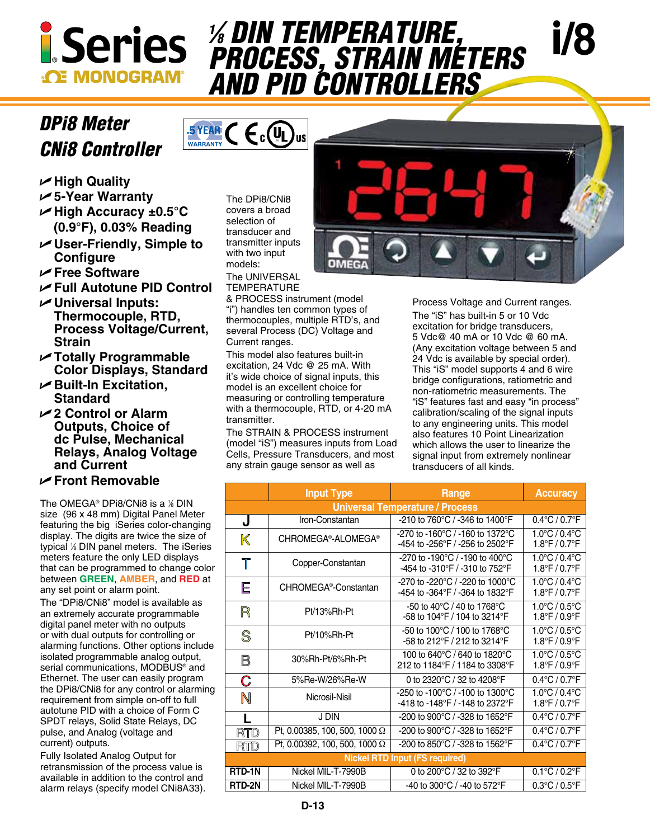

## *DPi8 Meter CNi8 Controller*



- **∠High Quality**
- U**5-Year Warranty**
- U**High Accuracy ±0.5°C (0.9°F), 0.03% Reading**
- U**User-Friendly, Simple to Configure**
- U**Free Software**
- U**Full Autotune PID Control**
- U**Universal Inputs: Thermocouple, RTD, Process Voltage/Current, Strain**
- U**Totally Programmable Color Displays, Standard**
- U**Built-In Excitation, Standard**
- U**2 Control or Alarm Outputs, Choice of dc Pulse, Mechanical Relays, Analog Voltage and Current**

## U**Front Removable**

The OMEGA® DPi8/CNi8 is a 1 ⁄8 DIN size (96 x 48 mm) Digital Panel Meter featuring the big iSeries color-changing display. The digits are twice the size of typical 1 ⁄8 DIN panel meters. The iSeries meters feature the only LED displays that can be programmed to change color between **GREEN**, **AMBER**, and **RED** at any set point or alarm point.

The "DPi8/CNi8" model is available as an extremely accurate programmable digital panel meter with no outputs or with dual outputs for controlling or alarming functions. Other options include isolated programmable analog output, serial communications, MODBUS® and Ethernet. The user can easily program the DPi8/CNi8 for any control or alarming requirement from simple on-off to full autotune PID with a choice of Form C SPDT relays, Solid State Relays, DC pulse, and Analog (voltage and current) outputs.

Fully Isolated Analog Output for retransmission of the process value is available in addition to the control and alarm relays (specify model CNi8A33). The DPi8/CNi8 covers a broad selection of transducer and transmitter inputs with two input models: The UNIVERSAL

**TEMPERATURE** 

& PROCESS instrument (model "i") handles ten common types of thermocouples, multiple RTD's, and several Process (DC) Voltage and Current ranges.

**% DIN TEMPERATURE,** 

*and PID Controllers*

*⁄8 DIN Temperature, Process, Strain Meters* 

This model also features built-in excitation, 24 Vdc @ 25 mA. With it's wide choice of signal inputs, this model is an excellent choice for measuring or controlling temperature with a thermocouple, RTD, or 4-20 mA transmitter.

The STRAIN & PROCESS instrument (model "iS") measures inputs from Load Cells, Pressure Transducers, and most any strain gauge sensor as well as

Process Voltage and Current ranges. The "iS" has built-in 5 or 10 Vdc excitation for bridge transducers, 5 Vdc@ 40 mA or 10 Vdc @ 60 mA. (Any excitation voltage between 5 and 24 Vdc is available by special order). This "iS" model supports 4 and 6 wire bridge configurations, ratiometric and non-ratiometric measurements. The "iS" features fast and easy "in process" calibration/scaling of the signal inputs to any engineering units. This model also features 10 Point Linearization which allows the user to linearize the signal input from extremely nonlinear transducers of all kinds.

|                                        | <b>Input Type</b>                 | Range                                                                              | <b>Accuracy</b>                                                          |
|----------------------------------------|-----------------------------------|------------------------------------------------------------------------------------|--------------------------------------------------------------------------|
| <b>Universal Temperature / Process</b> |                                   |                                                                                    |                                                                          |
| J                                      | Iron-Constantan                   | -210 to 760 $^{\circ}$ C / -346 to 1400 $^{\circ}$ F                               | $0.4^{\circ}$ C / $0.7^{\circ}$ F                                        |
| K                                      | CHROMEGA®-ALOMEGA®                | -270 to -160°C / -160 to 1372°C<br>-454 to -256°F / -256 to 2502°F                 | $1.0^{\circ}$ C / 0.4 $^{\circ}$ C<br>$1.8^{\circ}$ F / 0.7 $^{\circ}$ F |
| $\mathbb T$                            | Copper-Constantan                 | -270 to -190°C / -190 to 400°C<br>-454 to -310°F / -310 to 752°F                   | $1.0^{\circ}$ C / 0.4 $^{\circ}$ C<br>$1.8^{\circ}$ F / 0.7 $^{\circ}$ F |
| E                                      | CHROMEGA <sup>®</sup> -Constantan | -270 to -220°C / -220 to 1000°C<br>-454 to -364°F / -364 to 1832°F                 | $1.0^{\circ}$ C / 0.4 $^{\circ}$ C<br>$1.8^{\circ}$ F / 0.7 $^{\circ}$ F |
| R                                      | Pt/13%Rh-Pt                       | -50 to 40°C / 40 to 1768°C<br>-58 to 104°F / 104 to 3214°F                         | $1.0^{\circ}$ C / 0.5 $^{\circ}$ C<br>$1.8^{\circ}$ F / 0.9 $^{\circ}$ F |
| S                                      | Pt/10%Rh-Pt                       | -50 to 100 $^{\circ}$ C / 100 to 1768 $^{\circ}$ C<br>-58 to 212°F / 212 to 3214°F | $1.0^{\circ}$ C / 0.5 $^{\circ}$ C<br>$1.8^{\circ}$ F / 0.9 $^{\circ}$ F |
| B                                      | 30%Rh-Pt/6%Rh-Pt                  | 100 to 640°C / 640 to 1820°C<br>212 to 1184°F / 1184 to 3308°F                     | $1.0^{\circ}$ C / 0.5 $^{\circ}$ C<br>$1.8^{\circ}$ F / 0.9 $^{\circ}$ F |
| C                                      | 5%Re-W/26%Re-W                    | 0 to 2320°C / 32 to 4208°F                                                         | $0.4^{\circ}$ C / $0.7^{\circ}$ F                                        |
| N                                      | Nicrosil-Nisil                    | -250 to -100°C / -100 to 1300°C<br>-418 to -148°F / -148 to 2372°F                 | $1.0^{\circ}$ C / 0.4 $^{\circ}$ C<br>$1.8^{\circ}$ F / 0.7 $^{\circ}$ F |
|                                        | J DIN                             | -200 to 900°C / -328 to 1652°F                                                     | $0.4^{\circ}$ C / $0.7^{\circ}$ F                                        |
| <b>RTD</b>                             | Pt, 0.00385, 100, 500, 1000 Ω     | -200 to 900°C / -328 to 1652°F                                                     | $0.4^{\circ}$ C / $0.7^{\circ}$ F                                        |
| RTD                                    | Pt, 0.00392, 100, 500, 1000 Ω     | -200 to 850°C / -328 to 1562°F                                                     | $0.4^{\circ}$ C / $0.7^{\circ}$ F                                        |
| <b>Nickel RTD Input (FS required)</b>  |                                   |                                                                                    |                                                                          |
| RTD-1N                                 | Nickel MIL-T-7990B                | 0 to 200°C / 32 to 392°F                                                           | $0.1^{\circ}$ C / $0.2^{\circ}$ F                                        |
| RTD-2N                                 | Nickel MIL-T-7990B                | -40 to 300°C / -40 to 572°F                                                        | $0.3^{\circ}$ C / $0.5^{\circ}$ F                                        |



i**/8**